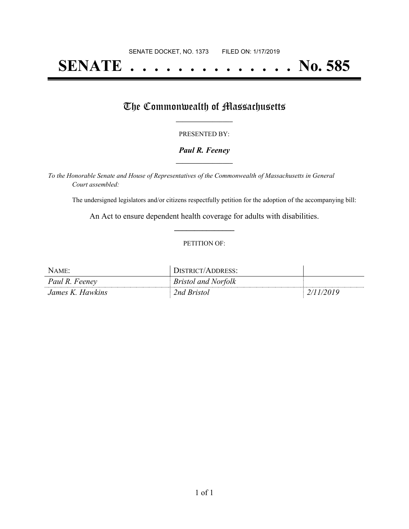# **SENATE . . . . . . . . . . . . . . No. 585**

## The Commonwealth of Massachusetts

#### PRESENTED BY:

#### *Paul R. Feeney* **\_\_\_\_\_\_\_\_\_\_\_\_\_\_\_\_\_**

*To the Honorable Senate and House of Representatives of the Commonwealth of Massachusetts in General Court assembled:*

The undersigned legislators and/or citizens respectfully petition for the adoption of the accompanying bill:

An Act to ensure dependent health coverage for adults with disabilities. **\_\_\_\_\_\_\_\_\_\_\_\_\_\_\_**

#### PETITION OF:

| NAME:            | DISTRICT/ADDRESS:          |           |
|------------------|----------------------------|-----------|
| Paul R. Feeney   | <b>Bristol and Norfolk</b> |           |
| James K. Hawkins | 2nd Bristol                | 2/11/2019 |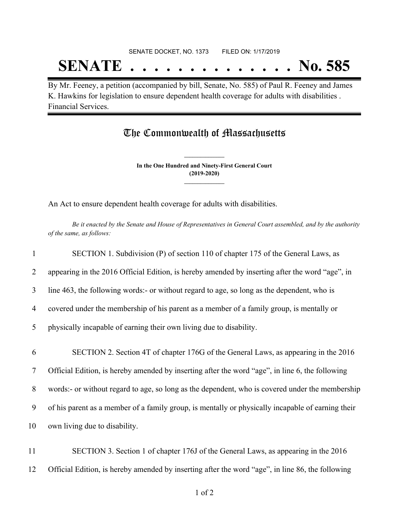## SENATE DOCKET, NO. 1373 FILED ON: 1/17/2019 **SENATE . . . . . . . . . . . . . . No. 585**

By Mr. Feeney, a petition (accompanied by bill, Senate, No. 585) of Paul R. Feeney and James K. Hawkins for legislation to ensure dependent health coverage for adults with disabilities . Financial Services.

### The Commonwealth of Massachusetts

**In the One Hundred and Ninety-First General Court (2019-2020) \_\_\_\_\_\_\_\_\_\_\_\_\_\_\_**

**\_\_\_\_\_\_\_\_\_\_\_\_\_\_\_**

An Act to ensure dependent health coverage for adults with disabilities.

Be it enacted by the Senate and House of Representatives in General Court assembled, and by the authority *of the same, as follows:*

|    | SECTION 1. Subdivision (P) of section 110 of chapter 175 of the General Laws, as                  |
|----|---------------------------------------------------------------------------------------------------|
| 2  | appearing in the 2016 Official Edition, is hereby amended by inserting after the word "age", in   |
| 3  | line 463, the following words:- or without regard to age, so long as the dependent, who is        |
| 4  | covered under the membership of his parent as a member of a family group, is mentally or          |
| 5  | physically incapable of earning their own living due to disability.                               |
| 6  | SECTION 2. Section 4T of chapter 176G of the General Laws, as appearing in the 2016               |
| 7  | Official Edition, is hereby amended by inserting after the word "age", in line 6, the following   |
| 8  | words:- or without regard to age, so long as the dependent, who is covered under the membership   |
| 9  | of his parent as a member of a family group, is mentally or physically incapable of earning their |
| 10 | own living due to disability.                                                                     |
| 11 | SECTION 3. Section 1 of chapter 176J of the General Laws, as appearing in the 2016                |

12 Official Edition, is hereby amended by inserting after the word "age", in line 86, the following